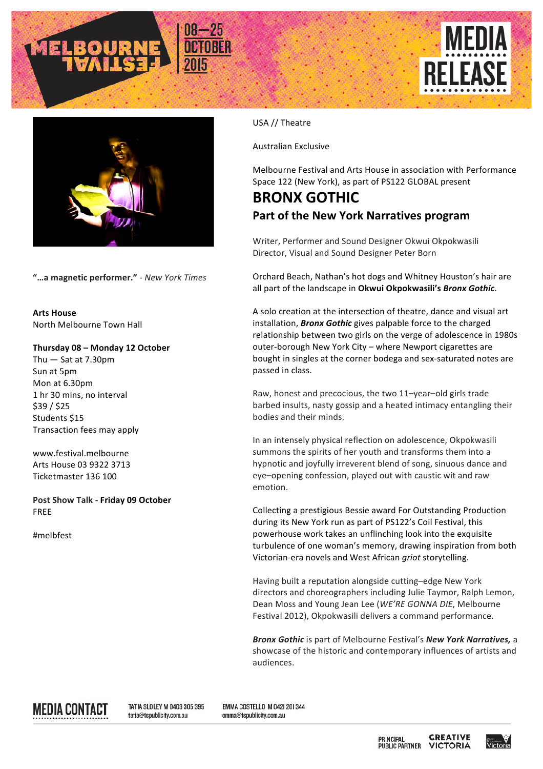



**"…a magnetic performer."** - *New York Times*

**Arts House** North Melbourne Town Hall

## **Thursday 08 – Monday 12 October**

Thu  $-$  Sat at 7.30pm Sun at 5pm Mon at 6.30pm 1 hr 30 mins, no interval \$39 / \$25 Students \$15 Transaction fees may apply

www.festival.melbourne Arts House 03 9322 3713 Ticketmaster 136 100

Post Show Talk - Friday 09 October FREE

#melbfest

USA // Theatre

Australian Exclusive

Melbourne Festival and Arts House in association with Performance Space 122 (New York), as part of PS122 GLOBAL present

## **BRONX GOTHIC Part of the New York Narratives program**

Writer, Performer and Sound Designer Okwui Okpokwasili Director, Visual and Sound Designer Peter Born

Orchard Beach, Nathan's hot dogs and Whitney Houston's hair are all part of the landscape in Okwui Okpokwasili's *Bronx Gothic*.

A solo creation at the intersection of theatre, dance and visual art installation, **Bronx Gothic** gives palpable force to the charged relationship between two girls on the verge of adolescence in 1980s outer-borough New York City - where Newport cigarettes are bought in singles at the corner bodega and sex-saturated notes are passed in class.

Raw, honest and precocious, the two 11-year-old girls trade barbed insults, nasty gossip and a heated intimacy entangling their bodies and their minds.

In an intensely physical reflection on adolescence, Okpokwasili summons the spirits of her youth and transforms them into a hypnotic and joyfully irreverent blend of song, sinuous dance and eye-opening confession, played out with caustic wit and raw emotion.

Collecting a prestigious Bessie award For Outstanding Production during its New York run as part of PS122's Coil Festival, this powerhouse work takes an unflinching look into the exquisite turbulence of one woman's memory, drawing inspiration from both Victorian-era novels and West African *griot* storytelling.

Having built a reputation alongside cutting-edge New York directors and choreographers including Julie Taymor, Ralph Lemon, Dean Moss and Young Jean Lee (*WE'RE GONNA DIE*, Melbourne Festival 2012), Okpokwasili delivers a command performance.

**Bronx Gothic** is part of Melbourne Festival's *New York Narratives*, a showcase of the historic and contemporary influences of artists and audiences.

MEDIA CONTACT

TATIA SLOLEY M 0403 305 395 tatia@tspublicity.com.au

EMMA COSTELLO M 042| 20| 344 emma@tspublicity.com.au